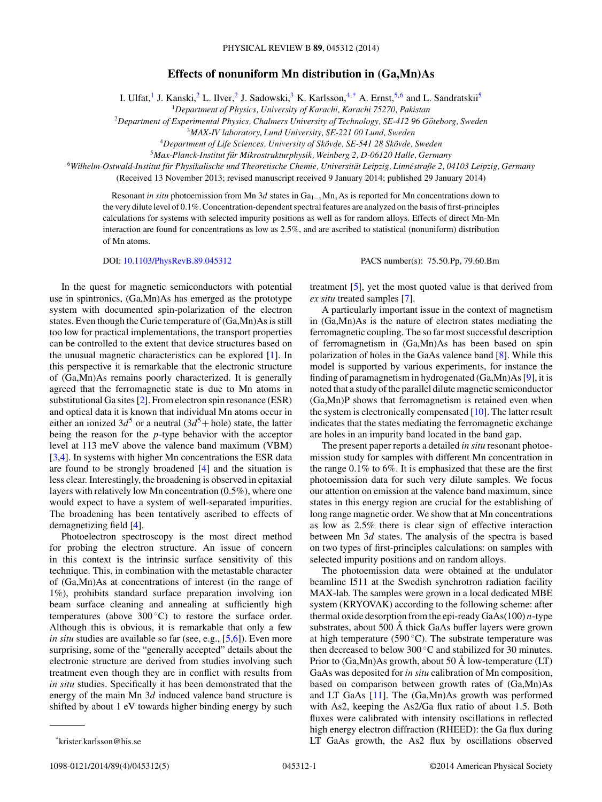## **Effects of nonuniform Mn distribution in (Ga,Mn)As**

I. Ulfat,<sup>1</sup> J. Kanski,<sup>2</sup> L. Ilver,<sup>2</sup> J. Sadowski,<sup>3</sup> K. Karlsson,<sup>4,\*</sup> A. Ernst,<sup>5,6</sup> and L. Sandratskii<sup>5</sup>

<sup>1</sup>*Department of Physics, University of Karachi, Karachi 75270, Pakistan*

<sup>2</sup>Department of Experimental Physics, Chalmers University of Technology, SE-412 96 Göteborg, Sweden

<sup>3</sup>*MAX-IV laboratory, Lund University, SE-221 00 Lund, Sweden*

<sup>4</sup>Department of Life Sciences, University of Skövde, SE-541 28 Skövde, Sweden

<sup>5</sup>*Max-Planck-Institut fur Mikrostrukturphysik, Weinberg 2, D-06120 Halle, Germany ¨*

<sup>6</sup>*Wilhelm-Ostwald-Institut fur Physikalische und Theoretische Chemie, Universit ¨ at Leipzig, Linn ¨ estraße 2, 04103 Leipzig, Germany ´*

(Received 13 November 2013; revised manuscript received 9 January 2014; published 29 January 2014)

Resonant *in situ* photoemission from Mn 3*d* states in Ga1−*<sup>x</sup>*Mn*x*As is reported for Mn concentrations down to the very dilute level of 0.1%. Concentration-dependent spectral features are analyzed on the basis of first-principles calculations for systems with selected impurity positions as well as for random alloys. Effects of direct Mn-Mn interaction are found for concentrations as low as 2.5%, and are ascribed to statistical (nonuniform) distribution of Mn atoms.

DOI: [10.1103/PhysRevB.89.045312](http://dx.doi.org/10.1103/PhysRevB.89.045312) PACS number(s): 75*.*50*.*Pp*,* 79*.*60*.*Bm

In the quest for magnetic semiconductors with potential use in spintronics, (Ga,Mn)As has emerged as the prototype system with documented spin-polarization of the electron states. Even though the Curie temperature of (Ga,Mn)As is still too low for practical implementations, the transport properties can be controlled to the extent that device structures based on the unusual magnetic characteristics can be explored [\[1\]](#page-3-0). In this perspective it is remarkable that the electronic structure of (Ga,Mn)As remains poorly characterized. It is generally agreed that the ferromagnetic state is due to Mn atoms in substitutional Ga sites [\[2\]](#page-3-0). From electron spin resonance (ESR) and optical data it is known that individual Mn atoms occur in either an ionized  $3d^5$  or a neutral  $(3d^5 + \text{hole})$  state, the latter being the reason for the *p*-type behavior with the acceptor level at 113 meV above the valence band maximum (VBM) [\[3,4\]](#page-3-0). In systems with higher Mn concentrations the ESR data are found to be strongly broadened [\[4\]](#page-3-0) and the situation is less clear. Interestingly, the broadening is observed in epitaxial layers with relatively low Mn concentration (0.5%), where one would expect to have a system of well-separated impurities. The broadening has been tentatively ascribed to effects of demagnetizing field [\[4\]](#page-3-0).

Photoelectron spectroscopy is the most direct method for probing the electron structure. An issue of concern in this context is the intrinsic surface sensitivity of this technique. This, in combination with the metastable character of (Ga,Mn)As at concentrations of interest (in the range of 1%), prohibits standard surface preparation involving ion beam surface cleaning and annealing at sufficiently high temperatures (above  $300\degree C$ ) to restore the surface order. Although this is obvious, it is remarkable that only a few *in situ* studies are available so far (see, e.g., [\[5,6\]](#page-3-0)). Even more surprising, some of the "generally accepted" details about the electronic structure are derived from studies involving such treatment even though they are in conflict with results from *in situ* studies. Specifically it has been demonstrated that the energy of the main Mn 3*d* induced valence band structure is shifted by about 1 eV towards higher binding energy by such

treatment [\[5\]](#page-3-0), yet the most quoted value is that derived from *ex situ* treated samples [\[7\]](#page-3-0).

A particularly important issue in the context of magnetism in (Ga,Mn)As is the nature of electron states mediating the ferromagnetic coupling. The so far most successful description of ferromagnetism in (Ga,Mn)As has been based on spin polarization of holes in the GaAs valence band [\[8\]](#page-3-0). While this model is supported by various experiments, for instance the finding of paramagnetism in hydrogenated (Ga,Mn)As [\[9\]](#page-3-0), it is noted that a study of the parallel dilute magnetic semiconductor (Ga,Mn)P shows that ferromagnetism is retained even when the system is electronically compensated [\[10\]](#page-3-0). The latter result indicates that the states mediating the ferromagnetic exchange are holes in an impurity band located in the band gap.

The present paper reports a detailed *in situ* resonant photoemission study for samples with different Mn concentration in the range 0.1% to 6%. It is emphasized that these are the first photoemission data for such very dilute samples. We focus our attention on emission at the valence band maximum, since states in this energy region are crucial for the establishing of long range magnetic order. We show that at Mn concentrations as low as 2.5% there is clear sign of effective interaction between Mn 3*d* states. The analysis of the spectra is based on two types of first-principles calculations: on samples with selected impurity positions and on random alloys.

The photoemission data were obtained at the undulator beamline I511 at the Swedish synchrotron radiation facility MAX-lab. The samples were grown in a local dedicated MBE system (KRYOVAK) according to the following scheme: after thermal oxide desorption from the epi-ready GaAs(100) *n*-type substrates, about 500 Å thick GaAs buffer layers were grown at high temperature (590 $^{\circ}$ C). The substrate temperature was then decreased to below 300 ◦C and stabilized for 30 minutes. Prior to  $(Ga, Mn)As$  growth, about 50 Å low-temperature (LT) GaAs was deposited for *in situ* calibration of Mn composition, based on comparison between growth rates of (Ga,Mn)As and LT GaAs [\[11\]](#page-3-0). The (Ga,Mn)As growth was performed with As2, keeping the As2/Ga flux ratio of about 1*.*5. Both fluxes were calibrated with intensity oscillations in reflected high energy electron diffraction (RHEED): the Ga flux during LT GaAs growth, the As2 flux by oscillations observed

<sup>\*</sup>krister.karlsson@his.se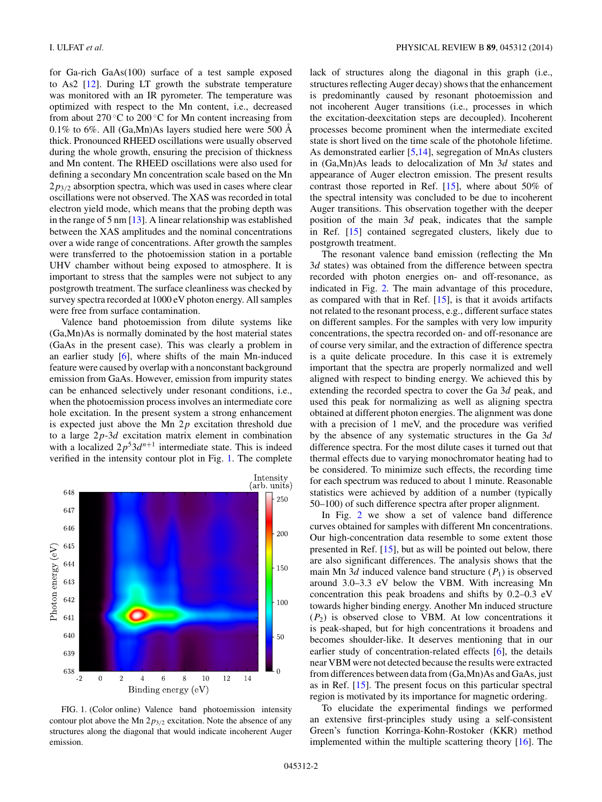for Ga-rich GaAs(100) surface of a test sample exposed to As2 [\[12\]](#page-3-0). During LT growth the substrate temperature was monitored with an IR pyrometer. The temperature was optimized with respect to the Mn content, i.e., decreased from about 270 $\degree$ C to 200 $\degree$ C for Mn content increasing from 0.1% to 6%. All (Ga,Mn)As layers studied here were 500  $\AA$ thick. Pronounced RHEED oscillations were usually observed during the whole growth, ensuring the precision of thickness and Mn content. The RHEED oscillations were also used for defining a secondary Mn concentration scale based on the Mn 2*p*3*/*<sup>2</sup> absorption spectra, which was used in cases where clear oscillations were not observed. The XAS was recorded in total electron yield mode, which means that the probing depth was in the range of 5 nm [\[13\]](#page-3-0). A linear relationship was established between the XAS amplitudes and the nominal concentrations over a wide range of concentrations. After growth the samples were transferred to the photoemission station in a portable UHV chamber without being exposed to atmosphere. It is important to stress that the samples were not subject to any postgrowth treatment. The surface cleanliness was checked by survey spectra recorded at 1000 eV photon energy. All samples were free from surface contamination.

Valence band photoemission from dilute systems like (Ga,Mn)As is normally dominated by the host material states (GaAs in the present case). This was clearly a problem in an earlier study [\[6\]](#page-3-0), where shifts of the main Mn-induced feature were caused by overlap with a nonconstant background emission from GaAs. However, emission from impurity states can be enhanced selectively under resonant conditions, i.e., when the photoemission process involves an intermediate core hole excitation. In the present system a strong enhancement is expected just above the Mn 2*p* excitation threshold due to a large 2*p*-3*d* excitation matrix element in combination with a localized  $2p^53d^{n+1}$  intermediate state. This is indeed verified in the intensity contour plot in Fig. 1. The complete



FIG. 1. (Color online) Valence band photoemission intensity contour plot above the Mn 2*p*3*/*<sup>2</sup> excitation. Note the absence of any structures along the diagonal that would indicate incoherent Auger emission.

lack of structures along the diagonal in this graph (i.e., structures reflecting Auger decay) shows that the enhancement is predominantly caused by resonant photoemission and not incoherent Auger transitions (i.e., processes in which the excitation-deexcitation steps are decoupled). Incoherent processes become prominent when the intermediate excited state is short lived on the time scale of the photohole lifetime. As demonstrated earlier [\[5,](#page-3-0)[14\]](#page-4-0), segregation of MnAs clusters in (Ga,Mn)As leads to delocalization of Mn 3*d* states and appearance of Auger electron emission. The present results contrast those reported in Ref. [\[15\]](#page-4-0), where about 50% of the spectral intensity was concluded to be due to incoherent Auger transitions. This observation together with the deeper position of the main 3*d* peak, indicates that the sample in Ref. [\[15\]](#page-4-0) contained segregated clusters, likely due to postgrowth treatment.

The resonant valence band emission (reflecting the Mn 3*d* states) was obtained from the difference between spectra recorded with photon energies on- and off-resonance, as indicated in Fig. [2.](#page-2-0) The main advantage of this procedure, as compared with that in Ref.  $[15]$ , is that it avoids artifacts not related to the resonant process, e.g., different surface states on different samples. For the samples with very low impurity concentrations, the spectra recorded on- and off-resonance are of course very similar, and the extraction of difference spectra is a quite delicate procedure. In this case it is extremely important that the spectra are properly normalized and well aligned with respect to binding energy. We achieved this by extending the recorded spectra to cover the Ga 3*d* peak, and used this peak for normalizing as well as aligning spectra obtained at different photon energies. The alignment was done with a precision of 1 meV, and the procedure was verified by the absence of any systematic structures in the Ga 3*d* difference spectra. For the most dilute cases it turned out that thermal effects due to varying monochromator heating had to be considered. To minimize such effects, the recording time for each spectrum was reduced to about 1 minute. Reasonable statistics were achieved by addition of a number (typically 50–100) of such difference spectra after proper alignment.

In Fig. [2](#page-2-0) we show a set of valence band difference curves obtained for samples with different Mn concentrations. Our high-concentration data resemble to some extent those presented in Ref. [\[15\]](#page-4-0), but as will be pointed out below, there are also significant differences. The analysis shows that the main Mn 3*d* induced valence band structure  $(P_1)$  is observed around 3.0–3.3 eV below the VBM. With increasing Mn concentration this peak broadens and shifts by 0.2–0.3 eV towards higher binding energy. Another Mn induced structure  $(P_2)$  is observed close to VBM. At low concentrations it is peak-shaped, but for high concentrations it broadens and becomes shoulder-like. It deserves mentioning that in our earlier study of concentration-related effects [\[6\]](#page-3-0), the details near VBM were not detected because the results were extracted from differences between data from (Ga,Mn)As and GaAs, just as in Ref. [\[15\]](#page-4-0). The present focus on this particular spectral region is motivated by its importance for magnetic ordering.

To elucidate the experimental findings we performed an extensive first-principles study using a self-consistent Green's function Korringa-Kohn-Rostoker (KKR) method implemented within the multiple scattering theory [\[16\]](#page-4-0). The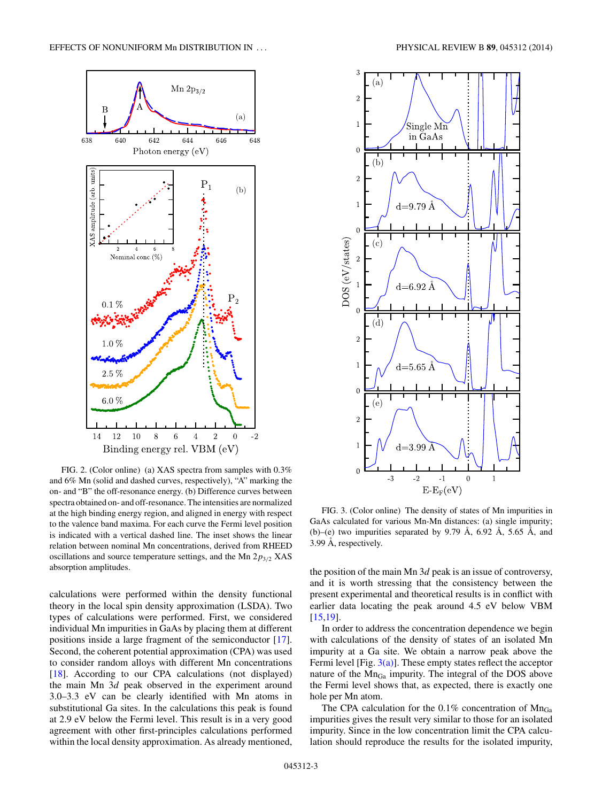<span id="page-2-0"></span>

FIG. 2. (Color online) (a) XAS spectra from samples with 0.3% and 6% Mn (solid and dashed curves, respectively), "A" marking the on- and "B" the off-resonance energy. (b) Difference curves between spectra obtained on- and off-resonance. The intensities are normalized at the high binding energy region, and aligned in energy with respect to the valence band maxima. For each curve the Fermi level position is indicated with a vertical dashed line. The inset shows the linear relation between nominal Mn concentrations, derived from RHEED oscillations and source temperature settings, and the Mn 2*p*3*/*<sup>2</sup> XAS absorption amplitudes.

calculations were performed within the density functional theory in the local spin density approximation (LSDA). Two types of calculations were performed. First, we considered individual Mn impurities in GaAs by placing them at different positions inside a large fragment of the semiconductor [\[17\]](#page-4-0). Second, the coherent potential approximation (CPA) was used to consider random alloys with different Mn concentrations [\[18\]](#page-4-0). According to our CPA calculations (not displayed) the main Mn 3*d* peak observed in the experiment around 3.0–3.3 eV can be clearly identified with Mn atoms in substitutional Ga sites. In the calculations this peak is found at 2.9 eV below the Fermi level. This result is in a very good agreement with other first-principles calculations performed within the local density approximation. As already mentioned,



FIG. 3. (Color online) The density of states of Mn impurities in GaAs calculated for various Mn-Mn distances: (a) single impurity; (b)–(e) two impurities separated by 9.79 Å, 6.92 Å, 5.65 Å, and  $3.99$  Å, respectively.

the position of the main Mn 3*d* peak is an issue of controversy, and it is worth stressing that the consistency between the present experimental and theoretical results is in conflict with earlier data locating the peak around 4.5 eV below VBM [\[15,19\]](#page-4-0).

In order to address the concentration dependence we begin with calculations of the density of states of an isolated Mn impurity at a Ga site. We obtain a narrow peak above the Fermi level [Fig.  $3(a)$ ]. These empty states reflect the acceptor nature of the MnGa impurity. The integral of the DOS above the Fermi level shows that, as expected, there is exactly one hole per Mn atom.

The CPA calculation for the  $0.1\%$  concentration of  $Mn_{Ga}$ impurities gives the result very similar to those for an isolated impurity. Since in the low concentration limit the CPA calculation should reproduce the results for the isolated impurity,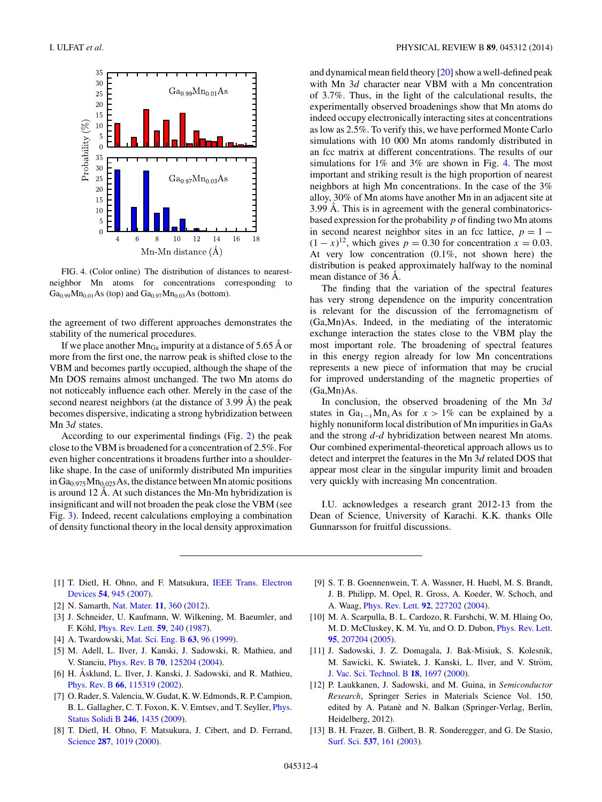<span id="page-3-0"></span>

FIG. 4. (Color online) The distribution of distances to nearestneighbor Mn atoms for concentrations corresponding to  $Ga_{0.99}Mn_{0.01}As$  (top) and  $Ga_{0.97}Mn_{0.03}As$  (bottom).

the agreement of two different approaches demonstrates the stability of the numerical procedures.

If we place another  $Mn_{Ga}$  impurity at a distance of 5.65 Å or more from the first one, the narrow peak is shifted close to the VBM and becomes partly occupied, although the shape of the Mn DOS remains almost unchanged. The two Mn atoms do not noticeably influence each other. Merely in the case of the second nearest neighbors (at the distance of  $3.99 \text{ Å}$ ) the peak becomes dispersive, indicating a strong hybridization between Mn 3*d* states.

According to our experimental findings (Fig. [2\)](#page-2-0) the peak close to the VBM is broadened for a concentration of 2.5%. For even higher concentrations it broadens further into a shoulderlike shape. In the case of uniformly distributed Mn impurities in Ga<sub>0.975</sub>Mn<sub>0.025</sub>As, the distance between Mn atomic positions is around  $12 \text{ Å}$ . At such distances the Mn-Mn hybridization is insignificant and will not broaden the peak close the VBM (see Fig. [3\)](#page-2-0). Indeed, recent calculations employing a combination of density functional theory in the local density approximation and dynamical mean field theory [\[20\]](#page-4-0) show a well-defined peak with Mn 3*d* character near VBM with a Mn concentration of 3.7%. Thus, in the light of the calculational results, the experimentally observed broadenings show that Mn atoms do indeed occupy electronically interacting sites at concentrations as low as 2.5%. To verify this, we have performed Monte Carlo simulations with 10 000 Mn atoms randomly distributed in an fcc matrix at different concentrations. The results of our simulations for 1% and 3% are shown in Fig. 4. The most important and striking result is the high proportion of nearest neighbors at high Mn concentrations. In the case of the 3% alloy, 30% of Mn atoms have another Mn in an adjacent site at 3.99 Å. This is in agreement with the general combinatoricsbased expression for the probability *p* of finding two Mn atoms in second nearest neighbor sites in an fcc lattice,  $p = 1 (1 - x)^{12}$ , which gives  $p = 0.30$  for concentration  $x = 0.03$ . At very low concentration (0.1%, not shown here) the distribution is peaked approximately halfway to the nominal mean distance of 36 Å.

The finding that the variation of the spectral features has very strong dependence on the impurity concentration is relevant for the discussion of the ferromagnetism of (Ga,Mn)As. Indeed, in the mediating of the interatomic exchange interaction the states close to the VBM play the most important role. The broadening of spectral features in this energy region already for low Mn concentrations represents a new piece of information that may be crucial for improved understanding of the magnetic properties of (Ga,Mn)As.

In conclusion, the observed broadening of the Mn 3*d* states in Ga<sub>1-*x*</sub>Mn<sub>*x*</sub>As for  $x > 1\%$  can be explained by a highly nonuniform local distribution of Mn impurities in GaAs and the strong *d*-*d* hybridization between nearest Mn atoms. Our combined experimental-theoretical approach allows us to detect and interpret the features in the Mn 3*d* related DOS that appear most clear in the singular impurity limit and broaden very quickly with increasing Mn concentration.

I.U. acknowledges a research grant 2012-13 from the Dean of Science, University of Karachi. K.K. thanks Olle Gunnarsson for fruitful discussions.

- [1] [T. Dietl, H. Ohno, and F. Matsukura,](http://dx.doi.org/10.1109/TED.2007.894622) IEEE Trans. Electron Devices **[54](http://dx.doi.org/10.1109/TED.2007.894622)**, [945](http://dx.doi.org/10.1109/TED.2007.894622) [\(2007\)](http://dx.doi.org/10.1109/TED.2007.894622).
- [2] N. Samarth, [Nat. Mater.](http://dx.doi.org/10.1038/nmat3317) **[11](http://dx.doi.org/10.1038/nmat3317)**, [360](http://dx.doi.org/10.1038/nmat3317) [\(2012\)](http://dx.doi.org/10.1038/nmat3317).
- [3] J. Schneider, U. Kaufmann, W. Wilkening, M. Baeumler, and F. Köhl, *[Phys. Rev. Lett.](http://dx.doi.org/10.1103/PhysRevLett.59.240)* **[59](http://dx.doi.org/10.1103/PhysRevLett.59.240)**, [240](http://dx.doi.org/10.1103/PhysRevLett.59.240) [\(1987\)](http://dx.doi.org/10.1103/PhysRevLett.59.240).
- [4] A. Twardowski, [Mat. Sci. Eng. B](http://dx.doi.org/10.1016/S0921-5107(99)00058-6) **[63](http://dx.doi.org/10.1016/S0921-5107(99)00058-6)**, [96](http://dx.doi.org/10.1016/S0921-5107(99)00058-6) [\(1999\)](http://dx.doi.org/10.1016/S0921-5107(99)00058-6).
- [5] M. Adell, L. Ilver, J. Kanski, J. Sadowski, R. Mathieu, and V. Stanciu, [Phys. Rev. B](http://dx.doi.org/10.1103/PhysRevB.70.125204) **[70](http://dx.doi.org/10.1103/PhysRevB.70.125204)**, [125204](http://dx.doi.org/10.1103/PhysRevB.70.125204) [\(2004\)](http://dx.doi.org/10.1103/PhysRevB.70.125204).
- [6] H. Åsklund, L. Ilver, J. Kanski, J. Sadowski, and R. Mathieu, [Phys. Rev. B](http://dx.doi.org/10.1103/PhysRevB.66.115319) **[66](http://dx.doi.org/10.1103/PhysRevB.66.115319)**, [115319](http://dx.doi.org/10.1103/PhysRevB.66.115319) [\(2002\)](http://dx.doi.org/10.1103/PhysRevB.66.115319).
- [7] O. Rader, S. Valencia, W. Gudat, K. W. Edmonds, R. P. Campion, [B. L. Gallagher, C. T. Foxon, K. V. Emtsev, and T. Seyller,](http://dx.doi.org/10.1002/pssb.200945209) Phys. Status Solidi B **[246](http://dx.doi.org/10.1002/pssb.200945209)**, [1435](http://dx.doi.org/10.1002/pssb.200945209) [\(2009\)](http://dx.doi.org/10.1002/pssb.200945209).
- [8] T. Dietl, H. Ohno, F. Matsukura, J. Cibert, and D. Ferrand, [Science](http://dx.doi.org/10.1126/science.287.5455.1019) **[287](http://dx.doi.org/10.1126/science.287.5455.1019)**, [1019](http://dx.doi.org/10.1126/science.287.5455.1019) [\(2000\)](http://dx.doi.org/10.1126/science.287.5455.1019).
- [9] S. T. B. Goennenwein, T. A. Wassner, H. Huebl, M. S. Brandt, J. B. Philipp, M. Opel, R. Gross, A. Koeder, W. Schoch, and A. Waag, [Phys. Rev. Lett.](http://dx.doi.org/10.1103/PhysRevLett.92.227202) **[92](http://dx.doi.org/10.1103/PhysRevLett.92.227202)**, [227202](http://dx.doi.org/10.1103/PhysRevLett.92.227202) [\(2004\)](http://dx.doi.org/10.1103/PhysRevLett.92.227202).
- [10] M. A. Scarpulla, B. L. Cardozo, R. Farshchi, W. M. Hlaing Oo, M. D. McCluskey, K. M. Yu, and O. D. Dubon, [Phys. Rev. Lett.](http://dx.doi.org/10.1103/PhysRevLett.95.207204) **[95](http://dx.doi.org/10.1103/PhysRevLett.95.207204)**, [207204](http://dx.doi.org/10.1103/PhysRevLett.95.207204) [\(2005\)](http://dx.doi.org/10.1103/PhysRevLett.95.207204).
- [11] J. Sadowski, J. Z. Domagala, J. Bak-Misiuk, S. Kolesnik, M. Sawicki, K. Swiatek, J. Kanski, L. Ilver, and V. Ström, [J. Vac. Sci. Technol. B](http://dx.doi.org/10.1116/1.591455) **[18](http://dx.doi.org/10.1116/1.591455)**, [1697](http://dx.doi.org/10.1116/1.591455) [\(2000\)](http://dx.doi.org/10.1116/1.591455).
- [12] P. Laukkanen, J. Sadowski, and M. Guina, in *Semiconductor Research*, Springer Series in Materials Science Vol. 150, edited by A. Patanè and N. Balkan (Springer-Verlag, Berlin, Heidelberg, 2012).
- [13] B. H. Frazer, B. Gilbert, B. R. Sonderegger, and G. De Stasio, [Surf. Sci.](http://dx.doi.org/10.1016/S0039-6028(03)00613-7) **[537](http://dx.doi.org/10.1016/S0039-6028(03)00613-7)**, [161](http://dx.doi.org/10.1016/S0039-6028(03)00613-7) [\(2003\)](http://dx.doi.org/10.1016/S0039-6028(03)00613-7).